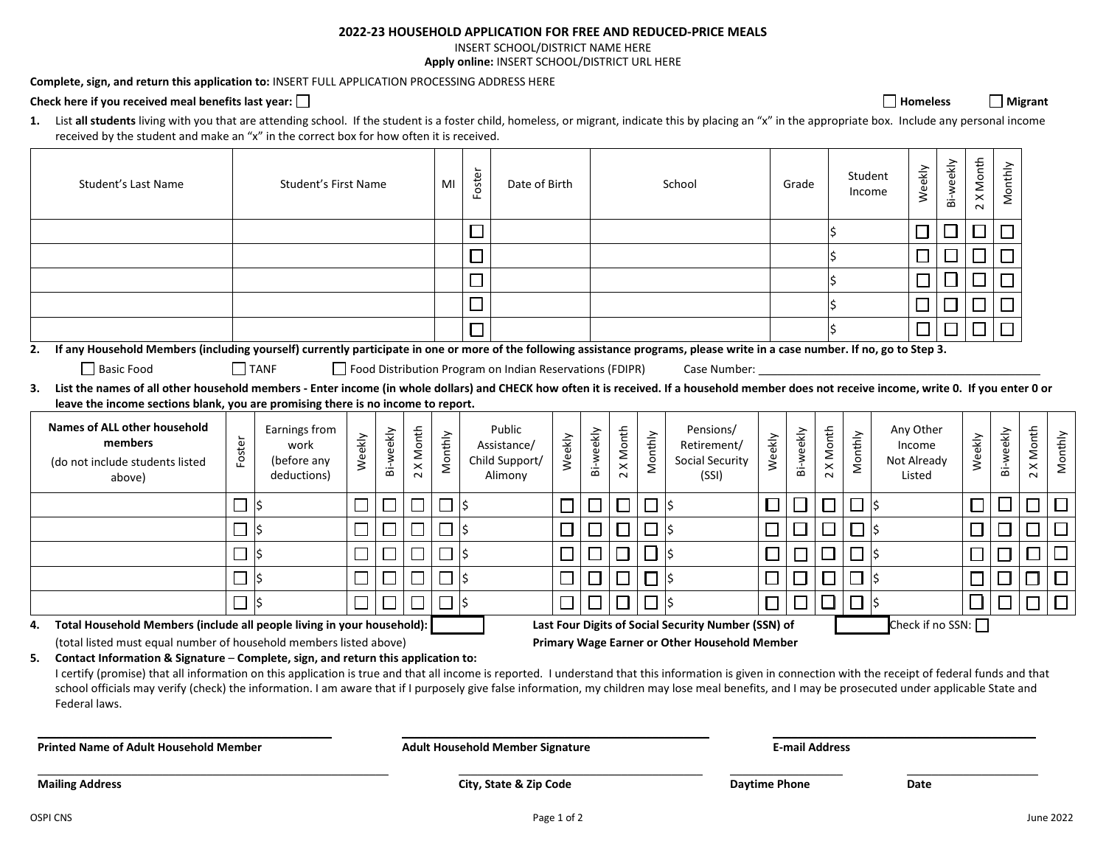## **2022-23 HOUSEHOLD APPLICATION FOR FREE AND REDUCED-PRICE MEALS**

INSERT SCHOOL/DISTRICT NAME HERE

**Apply online:** INSERT SCHOOL/DISTRICT URL HERE

**Complete, sign, and return this application to:** INSERT FULL APPLICATION PROCESSING ADDRESS HERE

## Check here if you received meal benefits last year: □ **Homeless** Migrant **Nigrant** and **Properties** Migrant **Nigrant Wigrant Wigrant Wigrant Wigrant Wigrant Wigrant Wigrant Wigrant Wigrant Wigrant Wi**

1. List all students living with you that are attending school. If the student is a foster child, homeless, or migrant, indicate this by placing an "x" in the appropriate box. Include any personal income received by the student and make an "x" in the correct box for how often it is received.

|                                               | Student's Last Name                                                                                                                                                                                                                                                                                                                                                                                                                                                                                                    | Student's First Name     |                                                     |                                         | MI        | Foster            | Date of Birth |                             |                                                          | School                       |           |         | Grade         |                                                      | Student | Income    | Weekly    | Bi-weekly    | 2 X Month | Monthly                                      |   |        |                             |                             |         |
|-----------------------------------------------|------------------------------------------------------------------------------------------------------------------------------------------------------------------------------------------------------------------------------------------------------------------------------------------------------------------------------------------------------------------------------------------------------------------------------------------------------------------------------------------------------------------------|--------------------------|-----------------------------------------------------|-----------------------------------------|-----------|-------------------|---------------|-----------------------------|----------------------------------------------------------|------------------------------|-----------|---------|---------------|------------------------------------------------------|---------|-----------|-----------|--------------|-----------|----------------------------------------------|---|--------|-----------------------------|-----------------------------|---------|
|                                               |                                                                                                                                                                                                                                                                                                                                                                                                                                                                                                                        |                          |                                                     |                                         |           |                   |               | $\overline{\phantom{a}}$    |                                                          |                              |           |         |               |                                                      |         |           |           |              |           |                                              | ┚ | $\Box$ | ⊐                           |                             |         |
|                                               |                                                                                                                                                                                                                                                                                                                                                                                                                                                                                                                        |                          |                                                     |                                         |           |                   |               | $\Box$                      |                                                          |                              |           |         |               |                                                      |         |           |           |              |           |                                              |   |        |                             |                             |         |
|                                               |                                                                                                                                                                                                                                                                                                                                                                                                                                                                                                                        |                          |                                                     |                                         |           |                   |               | $\mathcal{L}_{\mathcal{A}}$ |                                                          |                              |           |         |               |                                                      |         |           |           |              |           | $\Box$                                       |   | ⊔      | $\mathcal{L}_{\mathcal{A}}$ |                             |         |
|                                               |                                                                                                                                                                                                                                                                                                                                                                                                                                                                                                                        |                          |                                                     |                                         |           |                   |               |                             |                                                          |                              |           |         |               |                                                      |         |           |           |              |           |                                              | □ | $\Box$ | $\Box$                      |                             |         |
|                                               |                                                                                                                                                                                                                                                                                                                                                                                                                                                                                                                        |                          |                                                     |                                         |           |                   |               |                             |                                                          |                              |           |         |               |                                                      |         |           |           |              |           |                                              |   | $\Box$ |                             |                             |         |
| 2.                                            | If any Household Members (including yourself) currently participate in one or more of the following assistance programs, please write in a case number. If no, go to Step 3.                                                                                                                                                                                                                                                                                                                                           |                          |                                                     |                                         |           |                   |               |                             |                                                          |                              |           |         |               |                                                      |         |           |           |              |           |                                              |   |        |                             |                             |         |
|                                               | Basic Food                                                                                                                                                                                                                                                                                                                                                                                                                                                                                                             |                          | $\Box$ TANF                                         |                                         |           |                   |               |                             | Food Distribution Program on Indian Reservations (FDIPR) |                              |           |         |               | Case Number:                                         |         |           |           |              |           |                                              |   |        |                             |                             |         |
| 3.                                            | List the names of all other household members - Enter income (in whole dollars) and CHECK how often it is received. If a household member does not receive income, write 0. If you enter 0 or<br>leave the income sections blank, you are promising there is no income to report.                                                                                                                                                                                                                                      |                          |                                                     |                                         |           |                   |               |                             |                                                          |                              |           |         |               |                                                      |         |           |           |              |           |                                              |   |        |                             |                             |         |
|                                               | <b>Names of ALL other household</b><br>members<br>(do not include students listed<br>above)                                                                                                                                                                                                                                                                                                                                                                                                                            | Foster                   | Earnings from<br>work<br>(before any<br>deductions) | Weekly                                  | Bi-weekly | X Month<br>$\sim$ | Monthly       |                             | Public<br>Assistance/<br>Child Support/<br>Alimony       | Weekly                       | Bi-weekly | X Month | Monthly       | Pensions/<br>Retirement/<br>Social Security<br>(SSI) | Weekly  | Bi-weekly | 2 X Month | Monthly      |           | Any Other<br>Income<br>Not Already<br>Listed |   | Weekly | Bi-weekly                   | X Month<br>$\sim$           | Monthly |
|                                               |                                                                                                                                                                                                                                                                                                                                                                                                                                                                                                                        | $\overline{\phantom{a}}$ | l\$                                                 |                                         |           |                   |               | I\$                         |                                                          | $\Box$                       | □         | $\Box$  | $  \Box  $ \$ |                                                      | $\Box$  |           | $\Box$    | □            | l\$       |                                              |   |        |                             |                             | □       |
|                                               |                                                                                                                                                                                                                                                                                                                                                                                                                                                                                                                        |                          | lś                                                  |                                         |           |                   |               | l\$                         |                                                          | $\Box$                       | $\Box$    | $\Box$  | □             | l\$                                                  | $\Box$  | $\Box$    | $\Box$    | <b>□</b>  \$ |           |                                              |   | $\Box$ |                             |                             | $\Box$  |
|                                               |                                                                                                                                                                                                                                                                                                                                                                                                                                                                                                                        |                          | l\$                                                 |                                         |           |                   |               | l\$                         |                                                          | $\Box$                       | $\Box$    | $\Box$  | $\Box$        |                                                      | $\Box$  | $\Box$    | $\Box$    | $\Box$       | l\$       |                                              |   |        |                             | $\mathcal{L}_{\mathcal{A}}$ | $\Box$  |
|                                               |                                                                                                                                                                                                                                                                                                                                                                                                                                                                                                                        | $\overline{\phantom{a}}$ | l\$                                                 |                                         |           |                   |               | l\$                         |                                                          | $\Box$                       | $\Box$    | $\Box$  | 口ド            |                                                      | $\Box$  | $\Box$    | $\Box$    | $\Box$       | l\$       |                                              |   |        |                             |                             | $\Box$  |
|                                               |                                                                                                                                                                                                                                                                                                                                                                                                                                                                                                                        |                          | l\$                                                 |                                         |           |                   |               | İ\$                         |                                                          |                              |           |         |               | l\$                                                  |         | П         | П         | $\Box$       | l\$       |                                              |   |        |                             |                             | $\Box$  |
| 4.                                            | Total Household Members (include all people living in your household):                                                                                                                                                                                                                                                                                                                                                                                                                                                 |                          |                                                     |                                         |           |                   |               |                             |                                                          |                              |           |         |               | Last Four Digits of Social Security Number (SSN) of  |         |           |           |              |           | Check if no SSN:                             |   |        |                             |                             |         |
|                                               | (total listed must equal number of household members listed above)                                                                                                                                                                                                                                                                                                                                                                                                                                                     |                          |                                                     |                                         |           |                   |               |                             |                                                          |                              |           |         |               | Primary Wage Earner or Other Household Member        |         |           |           |              |           |                                              |   |        |                             |                             |         |
| 5.                                            | Contact Information & Signature - Complete, sign, and return this application to:<br>I certify (promise) that all information on this application is true and that all income is reported. I understand that this information is given in connection with the receipt of federal funds and that<br>school officials may verify (check) the information. I am aware that if I purposely give false information, my children may lose meal benefits, and I may be prosecuted under applicable State and<br>Federal laws. |                          |                                                     |                                         |           |                   |               |                             |                                                          |                              |           |         |               |                                                      |         |           |           |              |           |                                              |   |        |                             |                             |         |
| <b>Printed Name of Adult Household Member</b> |                                                                                                                                                                                                                                                                                                                                                                                                                                                                                                                        |                          |                                                     | <b>Adult Household Member Signature</b> |           |                   |               |                             |                                                          | <b>E-mail Address</b>        |           |         |               |                                                      |         |           |           |              |           |                                              |   |        |                             |                             |         |
| <b>Mailing Address</b>                        |                                                                                                                                                                                                                                                                                                                                                                                                                                                                                                                        |                          |                                                     | City, State & Zip Code                  |           |                   |               |                             |                                                          | <b>Daytime Phone</b><br>Date |           |         |               |                                                      |         |           |           |              |           |                                              |   |        |                             |                             |         |
| OSPI CNS                                      |                                                                                                                                                                                                                                                                                                                                                                                                                                                                                                                        |                          |                                                     | Page 1 of 2                             |           |                   |               |                             |                                                          |                              |           |         |               |                                                      |         |           |           |              |           | June 2022                                    |   |        |                             |                             |         |

□ Homeless